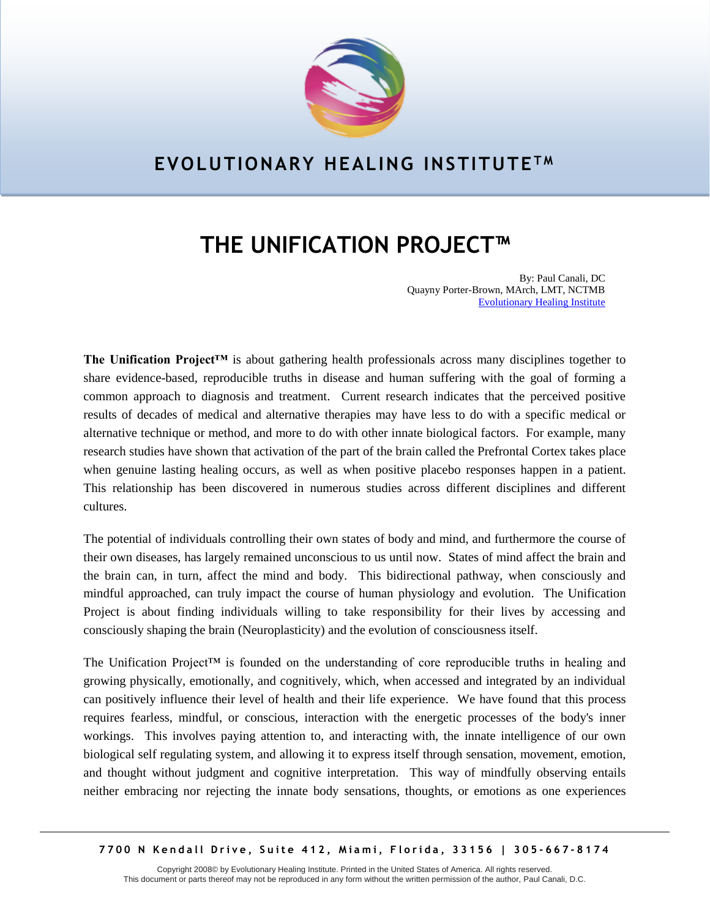

## **EVOLUTIONARY HEALING INSTITUTE T M**

## **THE UNIFICATION PROJECT™**

By: Paul Canali, DC Quayny Porter-Brown, MArch, LMT, NCTMB [Evolutionary Healing Institute](http://www.ehmiami.com/)

**The Unification Project™** is about gathering health professionals across many disciplines together to share evidence-based, reproducible truths in disease and human suffering with the goal of forming a common approach to diagnosis and treatment. Current research indicates that the perceived positive results of decades of medical and alternative therapies may have less to do with a specific medical or alternative technique or method, and more to do with other innate biological factors. For example, many research studies have shown that activation of the part of the brain called the Prefrontal Cortex takes place when genuine lasting healing occurs, as well as when positive placebo responses happen in a patient. This relationship has been discovered in numerous studies across different disciplines and different cultures.

The potential of individuals controlling their own states of body and mind, and furthermore the course of their own diseases, has largely remained unconscious to us until now. States of mind affect the brain and the brain can, in turn, affect the mind and body. This bidirectional pathway, when consciously and mindful approached, can truly impact the course of human physiology and evolution. The Unification Project is about finding individuals willing to take responsibility for their lives by accessing and consciously shaping the brain (Neuroplasticity) and the evolution of consciousness itself.

The Unification Project™ is founded on the understanding of core reproducible truths in healing and growing physically, emotionally, and cognitively, which, when accessed and integrated by an individual can positively influence their level of health and their life experience. We have found that this process requires fearless, mindful, or conscious, interaction with the energetic processes of the body's inner workings. This involves paying attention to, and interacting with, the innate intelligence of our own biological self regulating system, and allowing it to express itself through sensation, movement, emotion, and thought without judgment and cognitive interpretation. This way of mindfully observing entails neither embracing nor rejecting the innate body sensations, thoughts, or emotions as one experiences